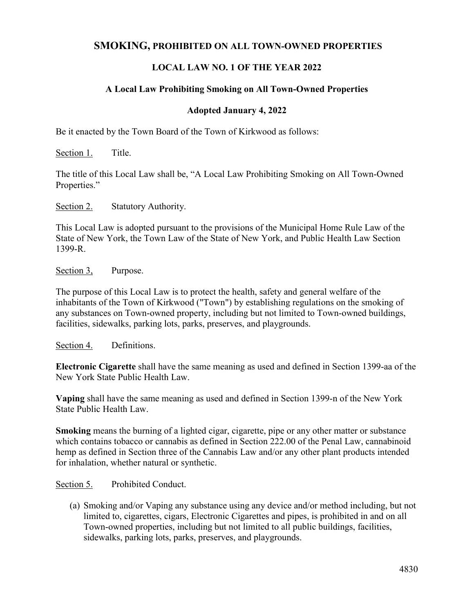# **SMOKING, PROHIBITED ON ALL TOWN-OWNED PROPERTIES**

## **LOCAL LAW NO. 1 OF THE YEAR 2022**

### **A Local Law Prohibiting Smoking on All Town-Owned Properties**

#### **Adopted January 4, 2022**

Be it enacted by the Town Board of the Town of Kirkwood as follows:

Section 1. Title.

The title of this Local Law shall be, "A Local Law Prohibiting Smoking on All Town-Owned Properties."

Section 2. Statutory Authority.

This Local Law is adopted pursuant to the provisions of the Municipal Home Rule Law of the State of New York, the Town Law of the State of New York, and Public Health Law Section 1399-R.

Section 3, Purpose.

The purpose of this Local Law is to protect the health, safety and general welfare of the inhabitants of the Town of Kirkwood ("Town") by establishing regulations on the smoking of any substances on Town-owned property, including but not limited to Town-owned buildings, facilities, sidewalks, parking lots, parks, preserves, and playgrounds.

Section 4. Definitions.

**Electronic Cigarette** shall have the same meaning as used and defined in Section 1399-aa of the New York State Public Health Law.

**Vaping** shall have the same meaning as used and defined in Section 1399-n of the New York State Public Health Law.

**Smoking** means the burning of a lighted cigar, cigarette, pipe or any other matter or substance which contains tobacco or cannabis as defined in Section 222.00 of the Penal Law, cannabinoid hemp as defined in Section three of the Cannabis Law and/or any other plant products intended for inhalation, whether natural or synthetic.

Section 5. Prohibited Conduct.

(a) Smoking and/or Vaping any substance using any device and/or method including, but not limited to, cigarettes, cigars, Electronic Cigarettes and pipes, is prohibited in and on all Town-owned properties, including but not limited to all public buildings, facilities, sidewalks, parking lots, parks, preserves, and playgrounds.